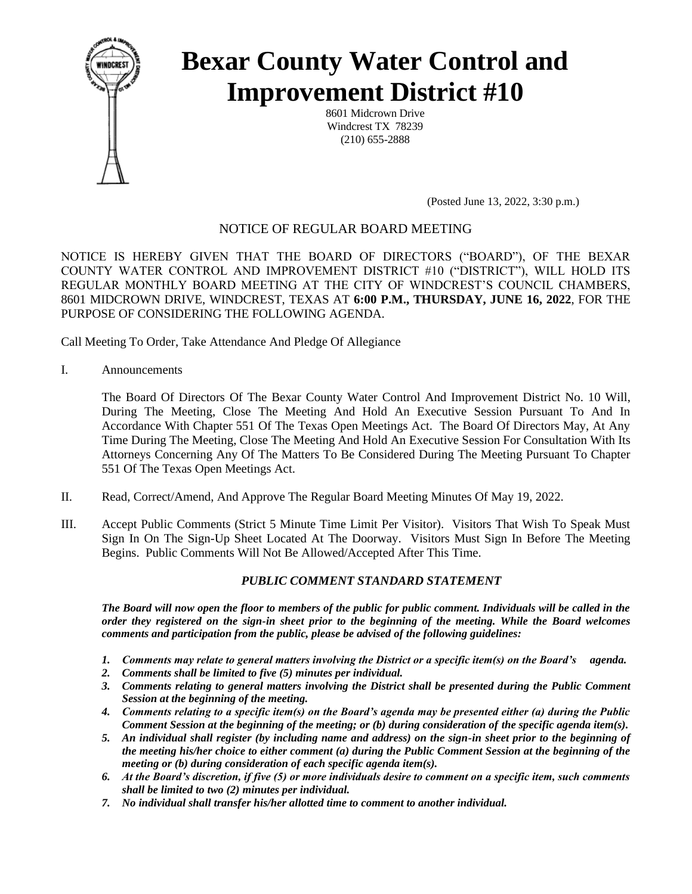

# **Bexar County Water Control and Improvement District #10**

8601 Midcrown Drive Windcrest TX 78239 (210) 655-2888

(Posted June 13, 2022, 3:30 p.m.)

# NOTICE OF REGULAR BOARD MEETING

NOTICE IS HEREBY GIVEN THAT THE BOARD OF DIRECTORS ("BOARD"), OF THE BEXAR COUNTY WATER CONTROL AND IMPROVEMENT DISTRICT #10 ("DISTRICT"), WILL HOLD ITS REGULAR MONTHLY BOARD MEETING AT THE CITY OF WINDCREST'S COUNCIL CHAMBERS, 8601 MIDCROWN DRIVE, WINDCREST, TEXAS AT **6:00 P.M., THURSDAY, JUNE 16, 2022**, FOR THE PURPOSE OF CONSIDERING THE FOLLOWING AGENDA.

Call Meeting To Order, Take Attendance And Pledge Of Allegiance

I. Announcements

The Board Of Directors Of The Bexar County Water Control And Improvement District No. 10 Will, During The Meeting, Close The Meeting And Hold An Executive Session Pursuant To And In Accordance With Chapter 551 Of The Texas Open Meetings Act. The Board Of Directors May, At Any Time During The Meeting, Close The Meeting And Hold An Executive Session For Consultation With Its Attorneys Concerning Any Of The Matters To Be Considered During The Meeting Pursuant To Chapter 551 Of The Texas Open Meetings Act.

- II. Read, Correct/Amend, And Approve The Regular Board Meeting Minutes Of May 19, 2022.
- III. Accept Public Comments (Strict 5 Minute Time Limit Per Visitor). Visitors That Wish To Speak Must Sign In On The Sign-Up Sheet Located At The Doorway. Visitors Must Sign In Before The Meeting Begins. Public Comments Will Not Be Allowed/Accepted After This Time.

# *PUBLIC COMMENT STANDARD STATEMENT*

*The Board will now open the floor to members of the public for public comment. Individuals will be called in the order they registered on the sign-in sheet prior to the beginning of the meeting. While the Board welcomes comments and participation from the public, please be advised of the following guidelines:* 

- *1. Comments may relate to general matters involving the District or a specific item(s) on the Board's agenda.*
- *2. Comments shall be limited to five (5) minutes per individual.*
- *3. Comments relating to general matters involving the District shall be presented during the Public Comment Session at the beginning of the meeting.*
- *4. Comments relating to a specific item(s) on the Board's agenda may be presented either (a) during the Public Comment Session at the beginning of the meeting; or (b) during consideration of the specific agenda item(s).*
- *5. An individual shall register (by including name and address) on the sign-in sheet prior to the beginning of the meeting his/her choice to either comment (a) during the Public Comment Session at the beginning of the meeting or (b) during consideration of each specific agenda item(s).*
- *6. At the Board's discretion, if five (5) or more individuals desire to comment on a specific item, such comments shall be limited to two (2) minutes per individual.*
- *7. No individual shall transfer his/her allotted time to comment to another individual.*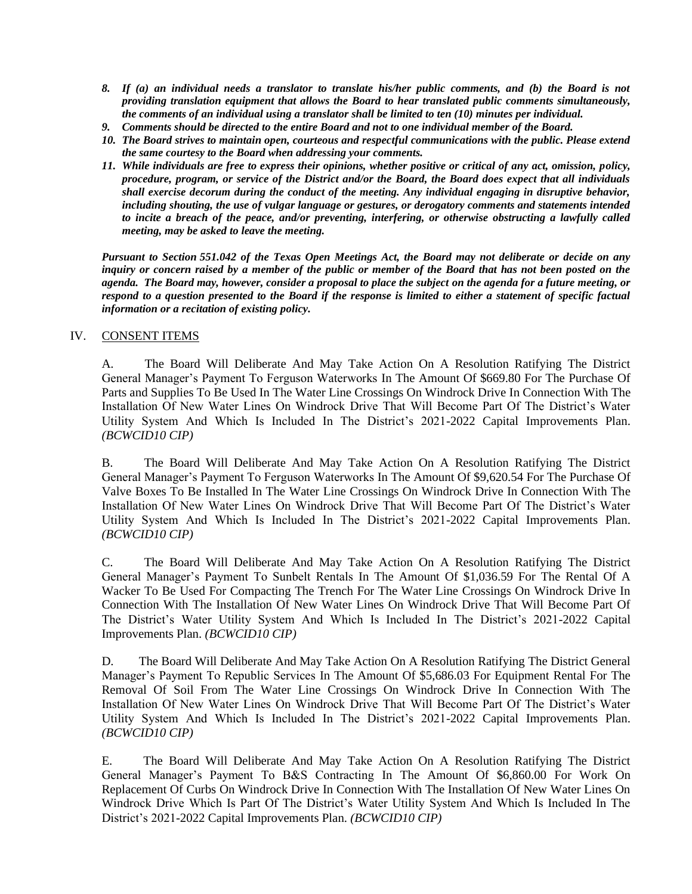- *8. If (a) an individual needs a translator to translate his/her public comments, and (b) the Board is not providing translation equipment that allows the Board to hear translated public comments simultaneously, the comments of an individual using a translator shall be limited to ten (10) minutes per individual.*
- *9. Comments should be directed to the entire Board and not to one individual member of the Board.*
- *10. The Board strives to maintain open, courteous and respectful communications with the public. Please extend the same courtesy to the Board when addressing your comments.*
- *11. While individuals are free to express their opinions, whether positive or critical of any act, omission, policy, procedure, program, or service of the District and/or the Board, the Board does expect that all individuals shall exercise decorum during the conduct of the meeting. Any individual engaging in disruptive behavior, including shouting, the use of vulgar language or gestures, or derogatory comments and statements intended to incite a breach of the peace, and/or preventing, interfering, or otherwise obstructing a lawfully called meeting, may be asked to leave the meeting.*

*Pursuant to Section 551.042 of the Texas Open Meetings Act, the Board may not deliberate or decide on any inquiry or concern raised by a member of the public or member of the Board that has not been posted on the agenda. The Board may, however, consider a proposal to place the subject on the agenda for a future meeting, or respond to a question presented to the Board if the response is limited to either a statement of specific factual information or a recitation of existing policy.*

#### IV. CONSENT ITEMS

A.The Board Will Deliberate And May Take Action On A Resolution Ratifying The District General Manager's Payment To Ferguson Waterworks In The Amount Of \$669.80 For The Purchase Of Parts and Supplies To Be Used In The Water Line Crossings On Windrock Drive In Connection With The Installation Of New Water Lines On Windrock Drive That Will Become Part Of The District's Water Utility System And Which Is Included In The District's 2021-2022 Capital Improvements Plan. *(BCWCID10 CIP)*

B. The Board Will Deliberate And May Take Action On A Resolution Ratifying The District General Manager's Payment To Ferguson Waterworks In The Amount Of \$9,620.54 For The Purchase Of Valve Boxes To Be Installed In The Water Line Crossings On Windrock Drive In Connection With The Installation Of New Water Lines On Windrock Drive That Will Become Part Of The District's Water Utility System And Which Is Included In The District's 2021-2022 Capital Improvements Plan. *(BCWCID10 CIP)*

C. The Board Will Deliberate And May Take Action On A Resolution Ratifying The District General Manager's Payment To Sunbelt Rentals In The Amount Of \$1,036.59 For The Rental Of A Wacker To Be Used For Compacting The Trench For The Water Line Crossings On Windrock Drive In Connection With The Installation Of New Water Lines On Windrock Drive That Will Become Part Of The District's Water Utility System And Which Is Included In The District's 2021-2022 Capital Improvements Plan. *(BCWCID10 CIP)*

D. The Board Will Deliberate And May Take Action On A Resolution Ratifying The District General Manager's Payment To Republic Services In The Amount Of \$5,686.03 For Equipment Rental For The Removal Of Soil From The Water Line Crossings On Windrock Drive In Connection With The Installation Of New Water Lines On Windrock Drive That Will Become Part Of The District's Water Utility System And Which Is Included In The District's 2021-2022 Capital Improvements Plan. *(BCWCID10 CIP)*

E.The Board Will Deliberate And May Take Action On A Resolution Ratifying The District General Manager's Payment To B&S Contracting In The Amount Of \$6,860.00 For Work On Replacement Of Curbs On Windrock Drive In Connection With The Installation Of New Water Lines On Windrock Drive Which Is Part Of The District's Water Utility System And Which Is Included In The District's 2021-2022 Capital Improvements Plan. *(BCWCID10 CIP)*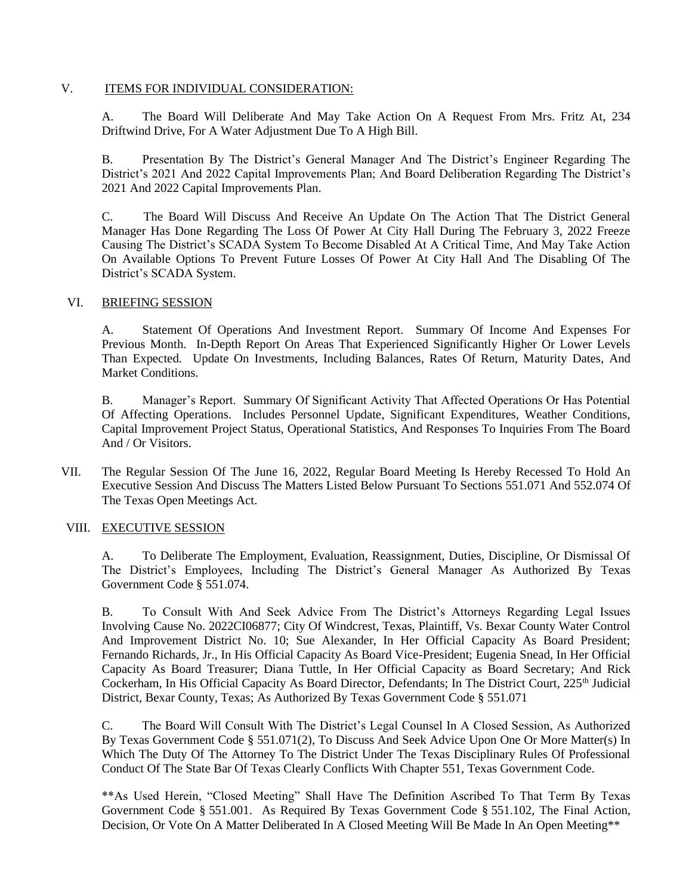#### V. ITEMS FOR INDIVIDUAL CONSIDERATION:

A. The Board Will Deliberate And May Take Action On A Request From Mrs. Fritz At, 234 Driftwind Drive, For A Water Adjustment Due To A High Bill.

B. Presentation By The District's General Manager And The District's Engineer Regarding The District's 2021 And 2022 Capital Improvements Plan; And Board Deliberation Regarding The District's 2021 And 2022 Capital Improvements Plan.

C. The Board Will Discuss And Receive An Update On The Action That The District General Manager Has Done Regarding The Loss Of Power At City Hall During The February 3, 2022 Freeze Causing The District's SCADA System To Become Disabled At A Critical Time, And May Take Action On Available Options To Prevent Future Losses Of Power At City Hall And The Disabling Of The District's SCADA System.

# VI. BRIEFING SESSION

A. Statement Of Operations And Investment Report. Summary Of Income And Expenses For Previous Month. In-Depth Report On Areas That Experienced Significantly Higher Or Lower Levels Than Expected. Update On Investments, Including Balances, Rates Of Return, Maturity Dates, And Market Conditions.

B. Manager's Report. Summary Of Significant Activity That Affected Operations Or Has Potential Of Affecting Operations. Includes Personnel Update, Significant Expenditures, Weather Conditions, Capital Improvement Project Status, Operational Statistics, And Responses To Inquiries From The Board And / Or Visitors.

VII. The Regular Session Of The June 16, 2022, Regular Board Meeting Is Hereby Recessed To Hold An Executive Session And Discuss The Matters Listed Below Pursuant To Sections 551.071 And 552.074 Of The Texas Open Meetings Act.

# VIII. EXECUTIVE SESSION

A. To Deliberate The Employment, Evaluation, Reassignment, Duties, Discipline, Or Dismissal Of The District's Employees, Including The District's General Manager As Authorized By Texas Government Code § 551.074.

B. To Consult With And Seek Advice From The District's Attorneys Regarding Legal Issues Involving Cause No. 2022CI06877; City Of Windcrest, Texas, Plaintiff, Vs. Bexar County Water Control And Improvement District No. 10; Sue Alexander, In Her Official Capacity As Board President; Fernando Richards, Jr., In His Official Capacity As Board Vice-President; Eugenia Snead, In Her Official Capacity As Board Treasurer; Diana Tuttle, In Her Official Capacity as Board Secretary; And Rick Cockerham, In His Official Capacity As Board Director, Defendants; In The District Court, 225<sup>th</sup> Judicial District, Bexar County, Texas; As Authorized By Texas Government Code § 551.071

C. The Board Will Consult With The District's Legal Counsel In A Closed Session, As Authorized By Texas Government Code § 551.071(2), To Discuss And Seek Advice Upon One Or More Matter(s) In Which The Duty Of The Attorney To The District Under The Texas Disciplinary Rules Of Professional Conduct Of The State Bar Of Texas Clearly Conflicts With Chapter 551, Texas Government Code.

\*\*As Used Herein, "Closed Meeting" Shall Have The Definition Ascribed To That Term By Texas Government Code § 551.001. As Required By Texas Government Code § 551.102, The Final Action, Decision, Or Vote On A Matter Deliberated In A Closed Meeting Will Be Made In An Open Meeting\*\*